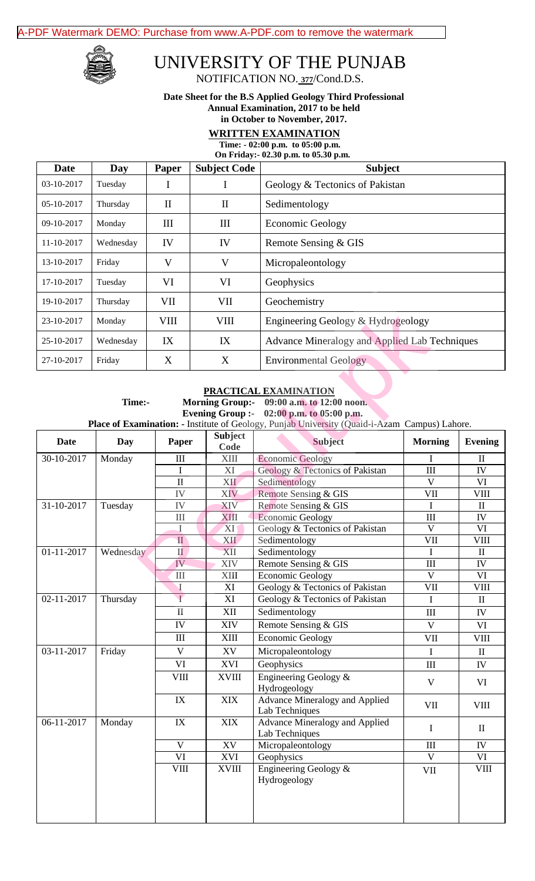[A-PDF Watermark DEMO: Purchase from www.A-PDF.com to remove the watermark](http://www.a-pdf.com/?wm-demo)



## UNIVERSITY OF THE PUNJAB

NOTIFICATION NO. **<sup>377</sup>**/Cond.D.S.

## **Date Sheet for the B.S Applied Geology Third Professional Annual Examination, 2017 to be held in October to November, 2017.**

 **WRITTEN EXAMINATION**

**Time: - 02:00 p.m. to 05:00 p.m.**

 **On Friday:- 02.30 p.m. to 05.30 p.m.**

| <b>Date</b> | Day       | Paper              | <b>Subject Code</b> | <b>Subject</b>                                |  |
|-------------|-----------|--------------------|---------------------|-----------------------------------------------|--|
| 03-10-2017  | Tuesday   | T                  | I                   | Geology & Tectonics of Pakistan               |  |
| 05-10-2017  | Thursday  | $\mathbf{I}$       | $\mathbf{I}$        | Sedimentology                                 |  |
| 09-10-2017  | Monday    | $\mathop{\rm III}$ | Ш                   | <b>Economic Geology</b>                       |  |
| 11-10-2017  | Wednesday | IV                 | IV                  | Remote Sensing & GIS                          |  |
| 13-10-2017  | Friday    | V                  | $\mathbf V$         | Micropaleontology                             |  |
| 17-10-2017  | Tuesday   | VI                 | VI                  | Geophysics                                    |  |
| 19-10-2017  | Thursday  | <b>VII</b>         | VII                 | Geochemistry                                  |  |
| 23-10-2017  | Monday    | <b>VIII</b>        | <b>VIII</b>         | Engineering Geology & Hydrogeology            |  |
| 25-10-2017  | Wednesday | IX                 | IX                  | Advance Mineralogy and Applied Lab Techniques |  |
| 27-10-2017  | Friday    | X                  | X                   | <b>Environmental Geology</b>                  |  |

## **PRACTICAL EXAMINATION**

|             |           |                    |                                                   | ovovnombu y                                                                                                                                                                            |                         |                |  |
|-------------|-----------|--------------------|---------------------------------------------------|----------------------------------------------------------------------------------------------------------------------------------------------------------------------------------------|-------------------------|----------------|--|
| 23-10-2017  | Monday    | <b>VIII</b>        | <b>VIII</b>                                       | Engineering Geology & Hydrogeology                                                                                                                                                     |                         |                |  |
| 25-10-2017  | Wednesday | IX                 | IX                                                | Advance Mineralogy and Applied Lab Techniques                                                                                                                                          |                         |                |  |
| 27-10-2017  | Friday    | X                  | X                                                 | <b>Environmental Geology</b>                                                                                                                                                           |                         |                |  |
|             | Time:-    |                    | <b>Morning Group:-</b><br><b>Evening Group :-</b> | <b>PRACTICAL EXAMINATION</b><br>09:00 a.m. to 12:00 noon.<br>02:00 p.m. to 05:00 p.m.<br>Place of Examination: - Institute of Geology, Punjab University (Quaid-i-Azam Campus) Lahore. |                         |                |  |
|             |           |                    |                                                   |                                                                                                                                                                                        |                         |                |  |
| <b>Date</b> | Day       | Paper              | <b>Subject</b><br>Code                            | <b>Subject</b>                                                                                                                                                                         | <b>Morning</b>          | <b>Evening</b> |  |
| 30-10-2017  | Monday    | Ш                  | <b>XIII</b>                                       | <b>Economic Geology</b>                                                                                                                                                                |                         | $\mathbf{I}$   |  |
|             |           | $\mathbf I$        | XI                                                | Geology & Tectonics of Pakistan                                                                                                                                                        | III                     | IV             |  |
|             |           | $\mathbf{I}$       | <b>XII</b>                                        | Sedimentology                                                                                                                                                                          | $\mathbf{V}$            | VI             |  |
|             |           | IV                 | XIV                                               | Remote Sensing & GIS                                                                                                                                                                   | <b>VII</b>              | <b>VIII</b>    |  |
| 31-10-2017  | Tuesday   | IV                 | XIV                                               | Remote Sensing & GIS                                                                                                                                                                   | I                       | $\mathbf{I}$   |  |
|             |           | $\rm III$          | <b>XIII</b>                                       | <b>Economic Geology</b>                                                                                                                                                                | III                     | IV             |  |
|             |           | $\mathbf I$        | XI                                                | Geology & Tectonics of Pakistan                                                                                                                                                        | $\mathbf{V}$            | VI             |  |
|             |           | $\rm II$           | <b>XII</b>                                        | Sedimentology                                                                                                                                                                          | VII                     | VIII           |  |
| 01-11-2017  | Wednesday | $\Pi$              | XII                                               | Sedimentology                                                                                                                                                                          | I                       | $\mathbf{I}$   |  |
|             |           | IV                 | <b>XIV</b>                                        | Remote Sensing & GIS                                                                                                                                                                   | III                     | ${\rm IV}$     |  |
|             |           | III                | XШ                                                | <b>Economic Geology</b>                                                                                                                                                                | $\overline{\mathbf{V}}$ | VI             |  |
|             |           | $\mathbf I$        | XI                                                | Geology & Tectonics of Pakistan                                                                                                                                                        | VII                     | VIII           |  |
| 02-11-2017  | Thursday  | T                  | XI                                                | Geology & Tectonics of Pakistan                                                                                                                                                        | I                       | $\mathbf{I}$   |  |
|             |           | $\mathbf{I}$       | XII                                               | Sedimentology                                                                                                                                                                          | III                     | IV             |  |
|             |           | IV                 | <b>XIV</b>                                        | Remote Sensing & GIS                                                                                                                                                                   | V                       | VI             |  |
|             |           | $\mathop{\rm III}$ | <b>XIII</b>                                       | <b>Economic Geology</b>                                                                                                                                                                | VII                     | <b>VIII</b>    |  |
| 03-11-2017  | Friday    | $\mathbf{V}$       | XV                                                | Micropaleontology                                                                                                                                                                      | I                       | $\mathbf{I}$   |  |
|             |           | VI                 | <b>XVI</b>                                        | Geophysics                                                                                                                                                                             | $\mathop{\rm III}$      | IV             |  |
|             |           | <b>VIII</b>        | <b>XVIII</b>                                      | Engineering Geology &<br>Hydrogeology                                                                                                                                                  | V                       | VI             |  |
|             |           | IX                 | XIX                                               | Advance Mineralogy and Applied<br>Lab Techniques                                                                                                                                       | VII                     | ${\rm VIII}$   |  |
| 06-11-2017  | Monday    | IX                 | <b>XIX</b>                                        | Advance Mineralogy and Applied<br>Lab Techniques                                                                                                                                       | $\mathbf I$             | $\mathbf{I}$   |  |
|             |           | $\mathbf V$        | XV                                                | Micropaleontology                                                                                                                                                                      | $\rm III$               | ${\rm IV}$     |  |
|             |           | VI                 | XVI                                               | Geophysics                                                                                                                                                                             | $\mathbf{V}$            | VI             |  |
|             |           | <b>VIII</b>        | <b>XVIII</b>                                      | Engineering Geology &<br>Hydrogeology                                                                                                                                                  | VII                     | $\rm VIII$     |  |
|             |           |                    |                                                   |                                                                                                                                                                                        |                         |                |  |